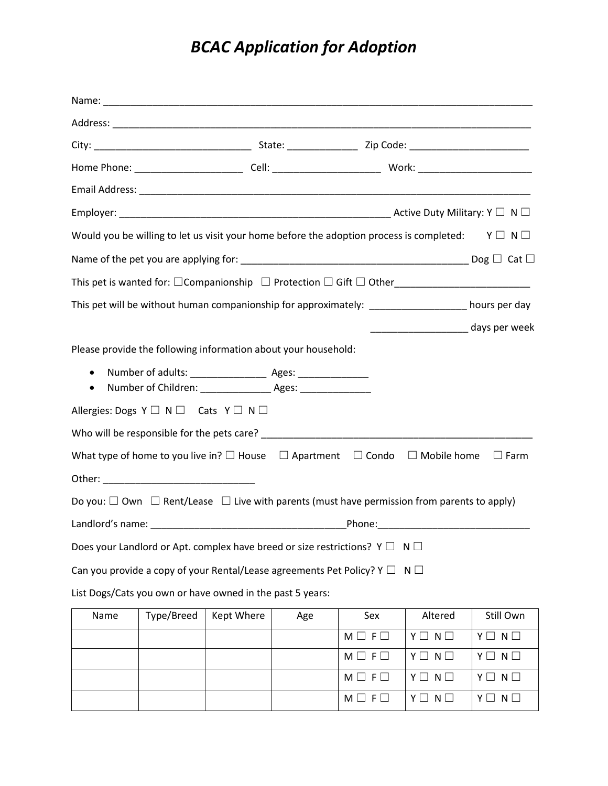## *BCAC Application for Adoption*

|                        | Would you be willing to let us visit your home before the adoption process is completed: $Y \Box N \Box$                                 |            |     |                 |                 |                      |
|------------------------|------------------------------------------------------------------------------------------------------------------------------------------|------------|-----|-----------------|-----------------|----------------------|
|                        |                                                                                                                                          |            |     |                 |                 |                      |
|                        |                                                                                                                                          |            |     |                 |                 |                      |
|                        | This pet will be without human companionship for approximately: _________________ hours per day                                          |            |     |                 |                 |                      |
|                        |                                                                                                                                          |            |     |                 |                 |                      |
|                        | Please provide the following information about your household:                                                                           |            |     |                 |                 |                      |
| $\bullet$<br>$\bullet$ | Number of adults: ________________________ Ages: __________________<br>Number of Children: ______________________ Ages: ________________ |            |     |                 |                 |                      |
|                        | Allergies: Dogs $Y \square \neg N \square$ Cats $Y \square \neg N \square$                                                               |            |     |                 |                 |                      |
|                        |                                                                                                                                          |            |     |                 |                 |                      |
|                        | What type of home to you live in? $\square$ House $\Box$ Apartment $\Box$ Condo $\Box$ Mobile home                                       |            |     |                 |                 | $\square$ Farm       |
|                        |                                                                                                                                          |            |     |                 |                 |                      |
|                        | Do you: $\Box$ Own $\Box$ Rent/Lease $\Box$ Live with parents (must have permission from parents to apply)                               |            |     |                 |                 |                      |
|                        |                                                                                                                                          |            |     |                 |                 |                      |
|                        | Does your Landlord or Apt. complex have breed or size restrictions? $Y \square \neg N \square$                                           |            |     |                 |                 |                      |
|                        | Can you provide a copy of your Rental/Lease agreements Pet Policy? Y $\Box$ N $\Box$                                                     |            |     |                 |                 |                      |
|                        | List Dogs/Cats you own or have owned in the past 5 years:                                                                                |            |     |                 |                 |                      |
| Name                   | Type/Breed                                                                                                                               | Kept Where | Age | Sex             | Altered         | Still Own            |
|                        |                                                                                                                                          |            |     | $M \Box F \Box$ | $Y \Box N \Box$ | $Y \Box N \Box$      |
|                        |                                                                                                                                          |            |     | $M \Box F \Box$ | $Y \Box N \Box$ | $Y \Box N \Box$      |
|                        |                                                                                                                                          |            |     | $M \Box F \Box$ | $Y \Box N \Box$ | $N \Box$<br>$Y \Box$ |
|                        |                                                                                                                                          |            |     | $M \Box F \Box$ | $Y \Box N \Box$ | $N \Box$<br>YΠ       |